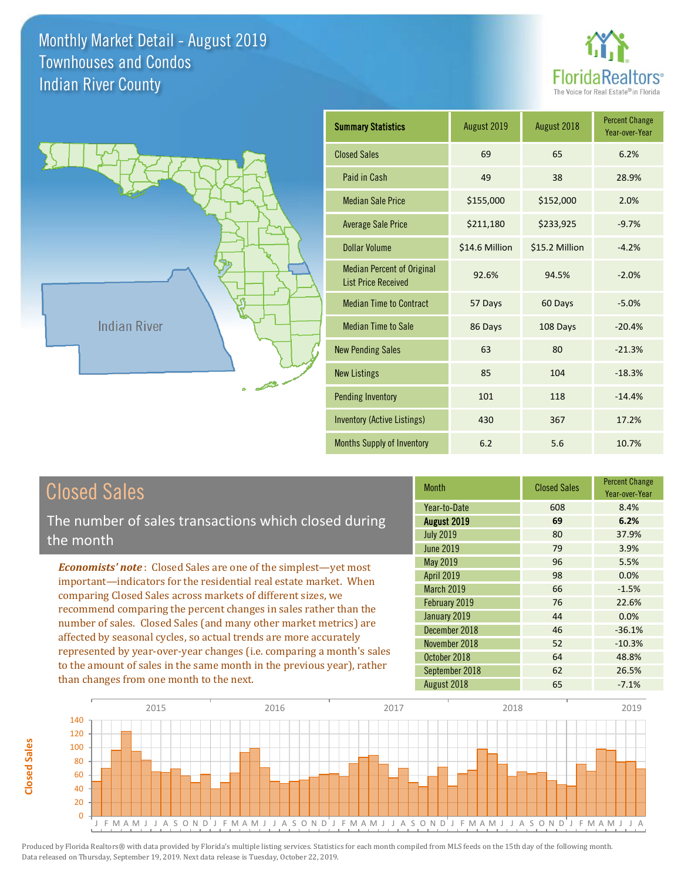**Closed Sales**

**Closed Sales** 



Year-over-Year

-20.4%



| <b>Closed Sales</b>                                                    | <b>Month</b>      | <b>Closed Sales</b> | <b>Percent Change</b><br>Year-over-Year |
|------------------------------------------------------------------------|-------------------|---------------------|-----------------------------------------|
|                                                                        | Year-to-Date      | 608                 | 8.4%                                    |
| The number of sales transactions which closed during                   | August 2019       | 69                  | 6.2%                                    |
| the month                                                              | <b>July 2019</b>  | 80                  | 37.9%                                   |
|                                                                        | June 2019         | 79                  | 3.9%                                    |
| <b>Economists' note:</b> Closed Sales are one of the simplest—yet most | May 2019          | 96                  | 5.5%                                    |
| important—indicators for the residential real estate market. When      | <b>April 2019</b> | 98                  | 0.0%                                    |
| comparing Closed Sales across markets of different sizes, we           | <b>March 2019</b> | 66                  | $-1.5%$                                 |
| recommend comparing the percent changes in sales rather than the       | February 2019     | 76                  | 22.6%                                   |
| number of sales. Closed Sales (and many other market metrics) are      | January 2019      | 44                  | 0.0%                                    |
| affected by seasonal cycles, so actual trends are more accurately      | December 2018     | 46                  | $-36.1%$                                |
|                                                                        | November 2018     | 52                  | $-10.3%$                                |
| represented by year-over-year changes (i.e. comparing a month's sales  | October 2018      | 64                  | 48.8%                                   |
| to the amount of sales in the same month in the previous year), rather | September 2018    | 62                  | 26.5%                                   |
| than changes from one month to the next.                               | August 2018       | 65                  | $-7.1%$                                 |

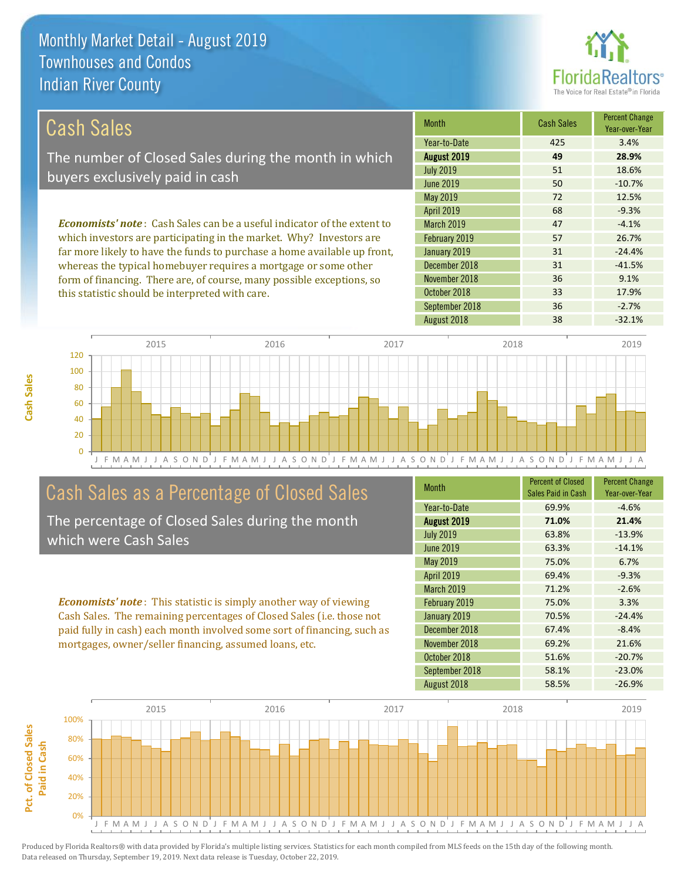

| Cash Sales                                                                     | <b>Month</b>      | <b>Cash Sales</b> | <b>Percent Change</b><br>Year-over-Year |
|--------------------------------------------------------------------------------|-------------------|-------------------|-----------------------------------------|
|                                                                                | Year-to-Date      | 425               | 3.4%                                    |
| The number of Closed Sales during the month in which                           | August 2019       | 49                | 28.9%                                   |
| buyers exclusively paid in cash                                                | <b>July 2019</b>  | 51                | 18.6%                                   |
|                                                                                | June 2019         | 50                | $-10.7%$                                |
|                                                                                | May 2019          | 72                | 12.5%                                   |
|                                                                                | <b>April 2019</b> | 68                | $-9.3%$                                 |
| <b>Economists' note:</b> Cash Sales can be a useful indicator of the extent to | <b>March 2019</b> | 47                | $-4.1%$                                 |
| which investors are participating in the market. Why? Investors are            | February 2019     | 57                | 26.7%                                   |
| far more likely to have the funds to purchase a home available up front,       | January 2019      | 31                | $-24.4%$                                |
| whereas the typical homebuyer requires a mortgage or some other                | December 2018     | 31                | $-41.5%$                                |
| form of financing. There are, of course, many possible exceptions, so          | November 2018     | 36                | 9.1%                                    |

this statistic should be interpreted with care.

| e other     | December 2018  | 31 | $-41.5%$ |
|-------------|----------------|----|----------|
| tions, so   | November 2018  | 36 | 9.1%     |
|             | October 2018   | 33 | 17.9%    |
|             | September 2018 | 36 | $-2.7%$  |
| August 2018 |                | 38 | $-32.1%$ |
|             |                |    |          |
| 2017        | 2018           |    | 2019     |
|             |                |    |          |



### Cash Sales as a Percentage of Closed Sales

The percentage of Closed Sales during the month which were Cash Sales

*Economists' note* : This statistic is simply another way of viewing Cash Sales. The remaining percentages of Closed Sales (i.e. those not paid fully in cash) each month involved some sort of financing, such as mortgages, owner/seller financing, assumed loans, etc.

| Month             | <b>Percent of Closed</b><br>Sales Paid in Cash | <b>Percent Change</b><br>Year-over-Year |
|-------------------|------------------------------------------------|-----------------------------------------|
| Year-to-Date      | 69.9%                                          | $-4.6%$                                 |
| August 2019       | 71.0%                                          | 21.4%                                   |
| <b>July 2019</b>  | 63.8%                                          | $-13.9%$                                |
| June 2019         | 63.3%                                          | $-14.1%$                                |
| May 2019          | 75.0%                                          | 6.7%                                    |
| <b>April 2019</b> | 69.4%                                          | $-9.3%$                                 |
| <b>March 2019</b> | 71.2%                                          | $-2.6%$                                 |
| February 2019     | 75.0%                                          | 3.3%                                    |
| January 2019      | 70.5%                                          | $-24.4%$                                |
| December 2018     | 67.4%                                          | $-8.4%$                                 |
| November 2018     | 69.2%                                          | 21.6%                                   |
| October 2018      | 51.6%                                          | $-20.7%$                                |
| September 2018    | 58.1%                                          | $-23.0%$                                |
| August 2018       | 58.5%                                          | $-26.9%$                                |

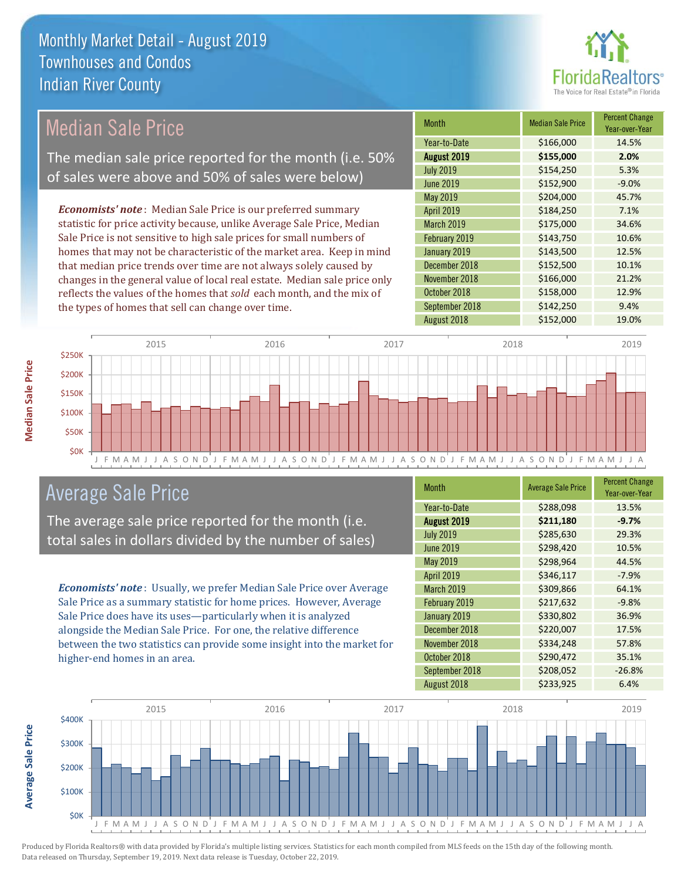

| <b>Median Sale Price</b>                           |                                                                           |      | <b>Month</b>      | <b>Median Sale Price</b> | <b>Percent Change</b><br>Year-over-Year |
|----------------------------------------------------|---------------------------------------------------------------------------|------|-------------------|--------------------------|-----------------------------------------|
|                                                    |                                                                           |      | Year-to-Date      | \$166,000                | 14.5%                                   |
|                                                    | The median sale price reported for the month (i.e. 50%                    |      | August 2019       | \$155,000                | 2.0%                                    |
|                                                    | of sales were above and 50% of sales were below)                          |      | <b>July 2019</b>  | \$154,250                | 5.3%                                    |
|                                                    |                                                                           |      | <b>June 2019</b>  | \$152,900                | $-9.0%$                                 |
|                                                    |                                                                           |      | May 2019          | \$204,000                | 45.7%                                   |
|                                                    | <b>Economists' note:</b> Median Sale Price is our preferred summary       |      | <b>April 2019</b> | \$184,250                | 7.1%                                    |
|                                                    | statistic for price activity because, unlike Average Sale Price, Median   |      | March 2019        | \$175,000                | 34.6%                                   |
|                                                    | Sale Price is not sensitive to high sale prices for small numbers of      |      | February 2019     | \$143,750                | 10.6%                                   |
|                                                    | homes that may not be characteristic of the market area. Keep in mind     |      | January 2019      | \$143,500                | 12.5%                                   |
|                                                    | that median price trends over time are not always solely caused by        |      | December 2018     | \$152,500                | 10.1%                                   |
|                                                    | changes in the general value of local real estate. Median sale price only |      | November 2018     | \$166,000                | 21.2%                                   |
|                                                    | reflects the values of the homes that sold each month, and the mix of     |      | October 2018      | \$158,000                | 12.9%                                   |
| the types of homes that sell can change over time. |                                                                           |      | September 2018    | \$142,250                | 9.4%                                    |
|                                                    |                                                                           |      | August 2018       | \$152,000                | 19.0%                                   |
|                                                    |                                                                           |      |                   |                          |                                         |
| 2015                                               | 2016                                                                      | 2017 |                   | 2018                     | 2019                                    |
|                                                    |                                                                           |      |                   |                          |                                         |



## Average Sale Price

The average sale price reported for the month (i.e. total sales in dollars divided by the number of sales)

*Economists' note* : Usually, we prefer Median Sale Price over Average Sale Price as a summary statistic for home prices. However, Average Sale Price does have its uses—particularly when it is analyzed alongside the Median Sale Price. For one, the relative difference between the two statistics can provide some insight into the market for higher-end homes in an area.

| <b>Month</b>      | <b>Average Sale Price</b> | <b>Percent Change</b><br>Year-over-Year |
|-------------------|---------------------------|-----------------------------------------|
| Year-to-Date      | \$288,098                 | 13.5%                                   |
| August 2019       | \$211,180                 | $-9.7%$                                 |
| <b>July 2019</b>  | \$285,630                 | 29.3%                                   |
| <b>June 2019</b>  | \$298,420                 | 10.5%                                   |
| May 2019          | \$298,964                 | 44.5%                                   |
| April 2019        | \$346,117                 | $-7.9%$                                 |
| <b>March 2019</b> | \$309,866                 | 64.1%                                   |
| February 2019     | \$217,632                 | $-9.8%$                                 |
| January 2019      | \$330,802                 | 36.9%                                   |
| December 2018     | \$220,007                 | 17.5%                                   |
| November 2018     | \$334,248                 | 57.8%                                   |
| October 2018      | \$290,472                 | 35.1%                                   |
| September 2018    | \$208,052                 | $-26.8%$                                |
| August 2018       | \$233,925                 | 6.4%                                    |



Produced by Florida Realtors® with data provided by Florida's multiple listing services. Statistics for each month compiled from MLS feeds on the 15th day of the following month. Data released on Thursday, September 19, 2019. Next data release is Tuesday, October 22, 2019.

**Average Sale Price**

**Average Sale Price**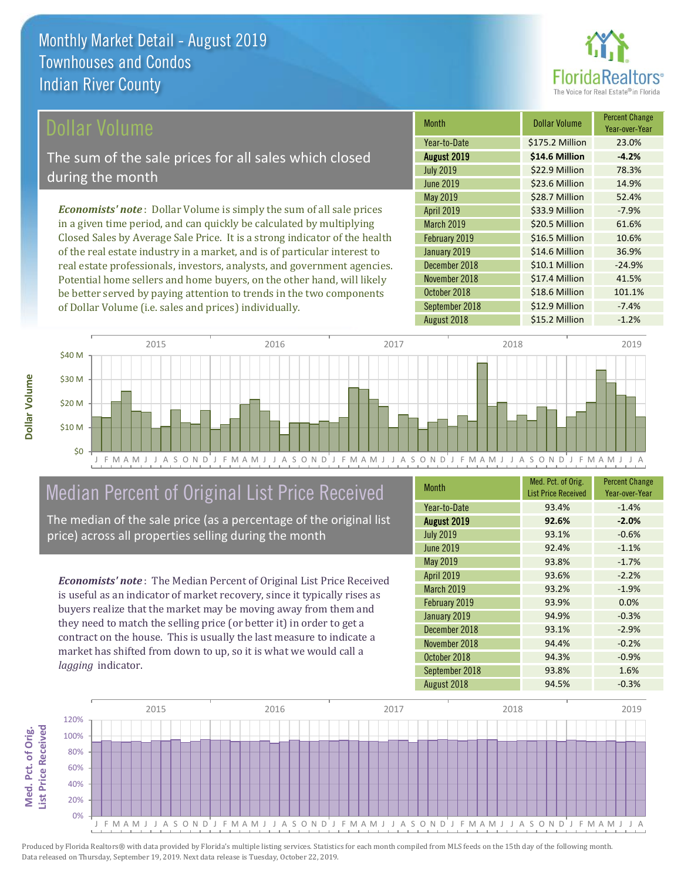

### Dollar Volume

The sum of the sale prices for all sales which closed during the month

*Economists' note* : Dollar Volume is simply the sum of all sale prices in a given time period, and can quickly be calculated by multiplying Closed Sales by Average Sale Price. It is a strong indicator of the health of the real estate industry in a market, and is of particular interest to real estate professionals, investors, analysts, and government agencies. Potential home sellers and home buyers, on the other hand, will likely be better served by paying attention to trends in the two components of Dollar Volume (i.e. sales and prices) individually.

| <b>Month</b>     | <b>Dollar Volume</b> | <b>Percent Change</b><br>Year-over-Year |
|------------------|----------------------|-----------------------------------------|
| Year-to-Date     | \$175.2 Million      | 23.0%                                   |
| August 2019      | \$14.6 Million       | $-4.2%$                                 |
| <b>July 2019</b> | \$22.9 Million       | 78.3%                                   |
| <b>June 2019</b> | \$23.6 Million       | 14.9%                                   |
| May 2019         | \$28.7 Million       | 52.4%                                   |
| April 2019       | \$33.9 Million       | $-7.9%$                                 |
| March 2019       | \$20.5 Million       | 61.6%                                   |
| February 2019    | \$16.5 Million       | 10.6%                                   |
| January 2019     | \$14.6 Million       | 36.9%                                   |
| December 2018    | \$10.1 Million       | $-24.9%$                                |
| November 2018    | \$17.4 Million       | 41.5%                                   |
| October 2018     | \$18.6 Million       | 101.1%                                  |
| September 2018   | \$12.9 Million       | $-7.4%$                                 |
| August 2018      | \$15.2 Million       | $-1.2%$                                 |



### Median Percent of Original List Price Received

The median of the sale price (as a percentage of the original list price) across all properties selling during the month

*Economists' note* : The Median Percent of Original List Price Received is useful as an indicator of market recovery, since it typically rises as buyers realize that the market may be moving away from them and they need to match the selling price (or better it) in order to get a contract on the house. This is usually the last measure to indicate a market has shifted from down to up, so it is what we would call a *lagging* indicator.

| <b>Month</b>       | Med. Pct. of Orig.<br><b>List Price Received</b> | <b>Percent Change</b><br>Year-over-Year |
|--------------------|--------------------------------------------------|-----------------------------------------|
| Year-to-Date       | 93.4%                                            | $-1.4%$                                 |
| <b>August 2019</b> | 92.6%                                            | $-2.0%$                                 |
| <b>July 2019</b>   | 93.1%                                            | $-0.6%$                                 |
| <b>June 2019</b>   | 92.4%                                            | $-1.1%$                                 |
| May 2019           | 93.8%                                            | $-1.7%$                                 |
| <b>April 2019</b>  | 93.6%                                            | $-2.2%$                                 |
| March 2019         | 93.2%                                            | $-1.9%$                                 |
| February 2019      | 93.9%                                            | 0.0%                                    |
| January 2019       | 94.9%                                            | $-0.3%$                                 |
| December 2018      | 93.1%                                            | $-2.9%$                                 |
| November 2018      | 94.4%                                            | $-0.2%$                                 |
| October 2018       | 94.3%                                            | $-0.9%$                                 |
| September 2018     | 93.8%                                            | 1.6%                                    |
| August 2018        | 94.5%                                            | $-0.3%$                                 |

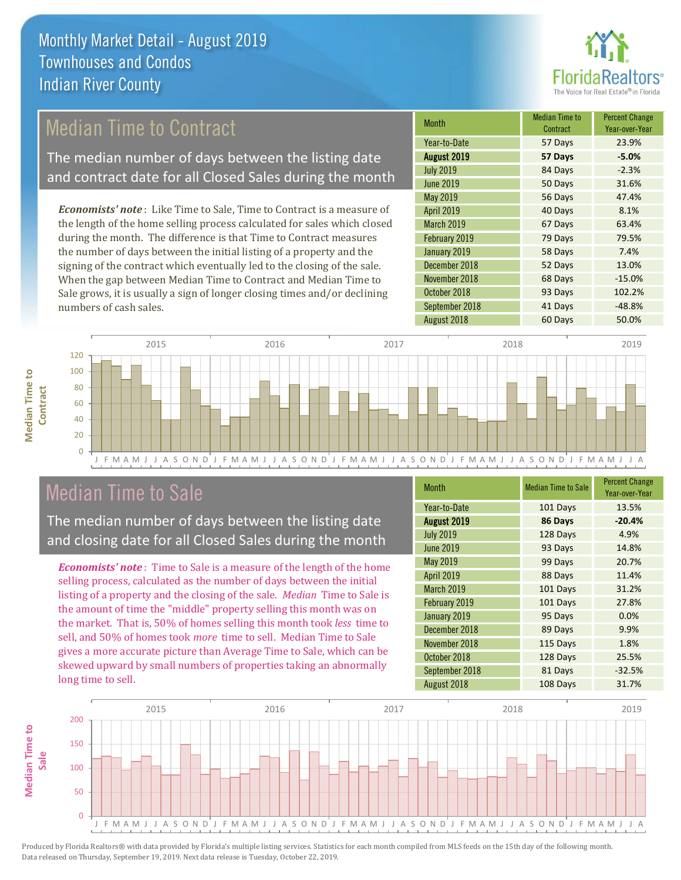

## Median Time to Contract

The median number of days between the listing date and contract date for all Closed Sales during the month

*Economists' note* : Like Time to Sale, Time to Contract is a measure of the length of the home selling process calculated for sales which closed during the month. The difference is that Time to Contract measures the number of days between the initial listing of a property and the signing of the contract which eventually led to the closing of the sale. When the gap between Median Time to Contract and Median Time to Sale grows, it is usually a sign of longer closing times and/or declining numbers of cash sales.

| <b>Month</b>      | <b>Median Time to</b><br>Contract | <b>Percent Change</b><br>Year-over-Year |
|-------------------|-----------------------------------|-----------------------------------------|
| Year-to-Date      | 57 Days                           | 23.9%                                   |
| August 2019       | 57 Days                           | $-5.0%$                                 |
| <b>July 2019</b>  | 84 Days                           | $-2.3%$                                 |
| <b>June 2019</b>  | 50 Days                           | 31.6%                                   |
| May 2019          | 56 Days                           | 47.4%                                   |
| <b>April 2019</b> | 40 Days                           | 8.1%                                    |
| March 2019        | 67 Days                           | 63.4%                                   |
| February 2019     | 79 Days                           | 79.5%                                   |
| January 2019      | 58 Days                           | 7.4%                                    |
| December 2018     | 52 Days                           | 13.0%                                   |
| November 2018     | 68 Days                           | $-15.0%$                                |
| October 2018      | 93 Days                           | 102.2%                                  |
| September 2018    | 41 Days                           | $-48.8%$                                |
| August 2018       | 60 Days                           | 50.0%                                   |



### Median Time to Sale

**Median Time to** 

**Median Time to** 

The median number of days between the listing date and closing date for all Closed Sales during the month

*Economists' note* : Time to Sale is a measure of the length of the home selling process, calculated as the number of days between the initial listing of a property and the closing of the sale. *Median* Time to Sale is the amount of time the "middle" property selling this month was on the market. That is, 50% of homes selling this month took *less* time to sell, and 50% of homes took *more* time to sell. Median Time to Sale gives a more accurate picture than Average Time to Sale, which can be skewed upward by small numbers of properties taking an abnormally long time to sell.

| <b>Month</b>      | <b>Median Time to Sale</b> | <b>Percent Change</b><br>Year-over-Year |
|-------------------|----------------------------|-----------------------------------------|
| Year-to-Date      | 101 Days                   | 13.5%                                   |
| August 2019       | 86 Days                    | $-20.4%$                                |
| <b>July 2019</b>  | 128 Days                   | 4.9%                                    |
| <b>June 2019</b>  | 93 Days                    | 14.8%                                   |
| May 2019          | 99 Days                    | 20.7%                                   |
| April 2019        | 88 Days                    | 11.4%                                   |
| <b>March 2019</b> | 101 Days                   | 31.2%                                   |
| February 2019     | 101 Days                   | 27.8%                                   |
| January 2019      | 95 Days                    | 0.0%                                    |
| December 2018     | 89 Days                    | 9.9%                                    |
| November 2018     | 115 Days                   | 1.8%                                    |
| October 2018      | 128 Days                   | 25.5%                                   |
| September 2018    | 81 Days                    | $-32.5%$                                |
| August 2018       | 108 Days                   | 31.7%                                   |

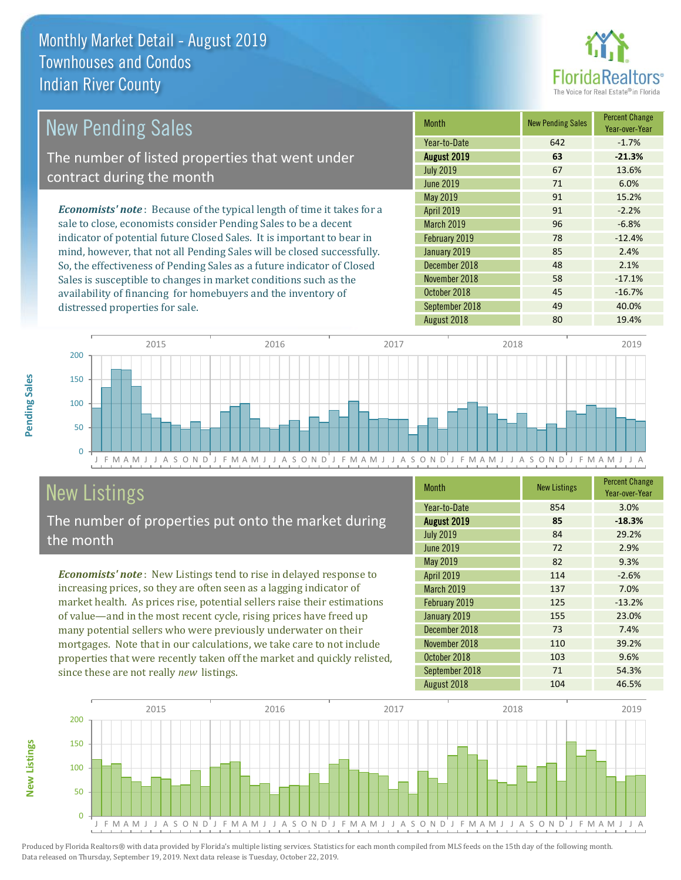

| <b>New Pending Sales</b>                                                       | <b>Month</b>      | <b>New Pending Sales</b> | <b>Percent Change</b><br>Year-over-Year |
|--------------------------------------------------------------------------------|-------------------|--------------------------|-----------------------------------------|
|                                                                                | Year-to-Date      | 642                      | $-1.7%$                                 |
| The number of listed properties that went under                                | August 2019       | 63                       | $-21.3%$                                |
| contract during the month                                                      | <b>July 2019</b>  | 67                       | 13.6%                                   |
|                                                                                | <b>June 2019</b>  | 71                       | 6.0%                                    |
|                                                                                | May 2019          | 91                       | 15.2%                                   |
| <b>Economists' note</b> : Because of the typical length of time it takes for a | <b>April 2019</b> | 91                       | $-2.2%$                                 |
| sale to close, economists consider Pending Sales to be a decent                | <b>March 2019</b> | 96                       | $-6.8%$                                 |
| indicator of potential future Closed Sales. It is important to bear in         | February 2019     | 78                       | $-12.4%$                                |
| mind, however, that not all Pending Sales will be closed successfully.         | January 2019      | 85                       | 2.4%                                    |
| So, the effectiveness of Pending Sales as a future indicator of Closed         | December 2018     | 48                       | 2.1%                                    |
| Sales is susceptible to changes in market conditions such as the               | November 2018     | 58                       | $-17.1%$                                |
| availability of financing for homebuvers and the inventory of                  | October 2018      | 45                       | $-16.7%$                                |



## New Listings

**New Listings**

**Pending Sales**

Pending Sales

distressed properties for sale.

The number of properties put onto the market during the month

availability of financing for homebuyers and the inventory of

*Economists' note* : New Listings tend to rise in delayed response to increasing prices, so they are often seen as a lagging indicator of market health. As prices rise, potential sellers raise their estimations of value—and in the most recent cycle, rising prices have freed up many potential sellers who were previously underwater on their mortgages. Note that in our calculations, we take care to not include properties that were recently taken off the market and quickly relisted, since these are not really *new* listings.

| <b>Month</b>      | <b>New Listings</b> | <b>Percent Change</b><br>Year-over-Year |
|-------------------|---------------------|-----------------------------------------|
| Year-to-Date      | 854                 | 3.0%                                    |
| August 2019       | 85                  | $-18.3%$                                |
| <b>July 2019</b>  | 84                  | 29.2%                                   |
| June 2019         | 72                  | 2.9%                                    |
| May 2019          | 82                  | 9.3%                                    |
| April 2019        | 114                 | $-2.6%$                                 |
| <b>March 2019</b> | 137                 | 7.0%                                    |
| February 2019     | 125                 | $-13.2%$                                |
| January 2019      | 155                 | 23.0%                                   |
| December 2018     | 73                  | 7.4%                                    |
| November 2018     | 110                 | 39.2%                                   |
| October 2018      | 103                 | 9.6%                                    |
| September 2018    | 71                  | 54.3%                                   |
| August 2018       | 104                 | 46.5%                                   |

September 2018 **49** 40.0%

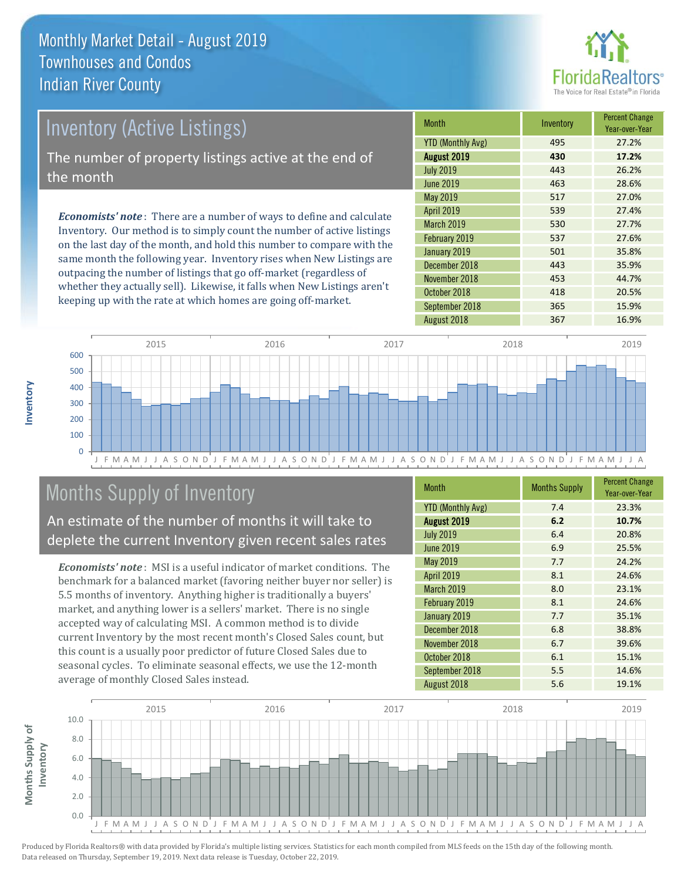

# *Economists' note* : There are a number of ways to define and calculate Inventory (Active Listings) The number of property listings active at the end of the month

Inventory. Our method is to simply count the number of active listings on the last day of the month, and hold this number to compare with the same month the following year. Inventory rises when New Listings are outpacing the number of listings that go off-market (regardless of whether they actually sell). Likewise, it falls when New Listings aren't keeping up with the rate at which homes are going off-market.

| <b>Month</b>             | Inventory | <b>Percent Change</b><br>Year-over-Year |
|--------------------------|-----------|-----------------------------------------|
| <b>YTD (Monthly Avg)</b> | 495       | 27.2%                                   |
| August 2019              | 430       | 17.2%                                   |
| <b>July 2019</b>         | 443       | 26.2%                                   |
| <b>June 2019</b>         | 463       | 28.6%                                   |
| <b>May 2019</b>          | 517       | 27.0%                                   |
| <b>April 2019</b>        | 539       | 27.4%                                   |
| <b>March 2019</b>        | 530       | 27.7%                                   |
| February 2019            | 537       | 27.6%                                   |
| January 2019             | 501       | 35.8%                                   |
| December 2018            | 443       | 35.9%                                   |
| November 2018            | 453       | 44.7%                                   |
| October 2018             | 418       | 20.5%                                   |
| September 2018           | 365       | 15.9%                                   |
| August 2018              | 367       | 16.9%                                   |



# Months Supply of Inventory

An estimate of the number of months it will take to deplete the current Inventory given recent sales rates

*Economists' note* : MSI is a useful indicator of market conditions. The benchmark for a balanced market (favoring neither buyer nor seller) is 5.5 months of inventory. Anything higher is traditionally a buyers' market, and anything lower is a sellers' market. There is no single accepted way of calculating MSI. A common method is to divide current Inventory by the most recent month's Closed Sales count, but this count is a usually poor predictor of future Closed Sales due to seasonal cycles. To eliminate seasonal effects, we use the 12-month average of monthly Closed Sales instead.

| <b>Month</b>             | <b>Months Supply</b> | <b>Percent Change</b><br>Year-over-Year |
|--------------------------|----------------------|-----------------------------------------|
| <b>YTD (Monthly Avg)</b> | 7.4                  | 23.3%                                   |
| August 2019              | 6.2                  | 10.7%                                   |
| <b>July 2019</b>         | 6.4                  | 20.8%                                   |
| <b>June 2019</b>         | 6.9                  | 25.5%                                   |
| May 2019                 | 7.7                  | 24.2%                                   |
| April 2019               | 8.1                  | 24.6%                                   |
| <b>March 2019</b>        | 8.0                  | 23.1%                                   |
| February 2019            | 8.1                  | 24.6%                                   |
| January 2019             | 7.7                  | 35.1%                                   |
| December 2018            | 6.8                  | 38.8%                                   |
| November 2018            | 6.7                  | 39.6%                                   |
| October 2018             | 6.1                  | 15.1%                                   |
| September 2018           | 5.5                  | 14.6%                                   |
| August 2018              | 5.6                  | 19.1%                                   |

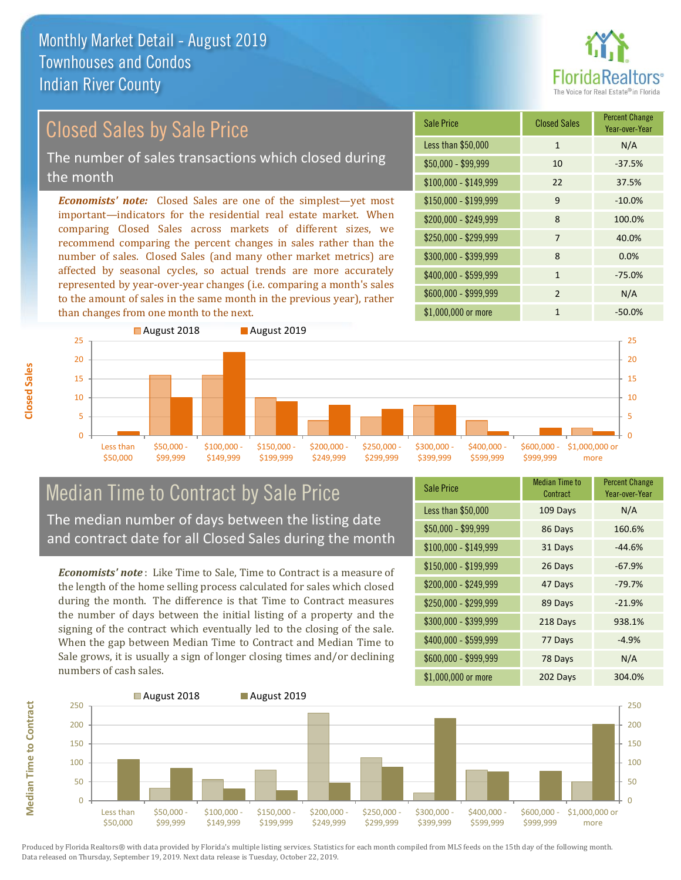

### Closed Sales by Sale Price

The number of sales transactions which closed during the month

*Economists' note:* Closed Sales are one of the simplest—yet most important—indicators for the residential real estate market. When comparing Closed Sales across markets of different sizes, we recommend comparing the percent changes in sales rather than the number of sales. Closed Sales (and many other market metrics) are affected by seasonal cycles, so actual trends are more accurately represented by year-over-year changes (i.e. comparing a month's sales to the amount of sales in the same month in the previous year), rather than changes from one month to the next.

| <b>Sale Price</b>     | <b>Closed Sales</b> | <b>Percent Change</b><br>Year-over-Year |
|-----------------------|---------------------|-----------------------------------------|
| Less than \$50,000    | $\mathbf{1}$        | N/A                                     |
| \$50,000 - \$99,999   | 10                  | $-37.5%$                                |
| $$100,000 - $149,999$ | 22                  | 37.5%                                   |
| $$150,000 - $199,999$ | 9                   | $-10.0%$                                |
| \$200,000 - \$249,999 | 8                   | 100.0%                                  |
| \$250,000 - \$299,999 | 7                   | 40.0%                                   |
| \$300,000 - \$399,999 | 8                   | 0.0%                                    |
| \$400,000 - \$599,999 | 1                   | $-75.0%$                                |
| \$600,000 - \$999,999 | $\mathcal{P}$       | N/A                                     |
| \$1,000,000 or more   | 1                   | $-50.0%$                                |



# Median Time to Contract by Sale Price The median number of days between the listing date

and contract date for all Closed Sales during the month

*Economists' note* : Like Time to Sale, Time to Contract is a measure of the length of the home selling process calculated for sales which closed during the month. The difference is that Time to Contract measures the number of days between the initial listing of a property and the signing of the contract which eventually led to the closing of the sale. When the gap between Median Time to Contract and Median Time to Sale grows, it is usually a sign of longer closing times and/or declining numbers of cash sales.

| <b>Sale Price</b>     | <b>Median Time to</b><br>Contract | <b>Percent Change</b><br>Year-over-Year |
|-----------------------|-----------------------------------|-----------------------------------------|
| Less than \$50,000    | 109 Days                          | N/A                                     |
| \$50,000 - \$99,999   | 86 Days                           | 160.6%                                  |
| $$100,000 - $149,999$ | 31 Days                           | $-44.6%$                                |
| $$150,000 - $199,999$ | 26 Days                           | $-67.9%$                                |
| \$200,000 - \$249,999 | 47 Days                           | $-79.7%$                                |
| \$250,000 - \$299,999 | 89 Days                           | $-21.9%$                                |
| \$300,000 - \$399,999 | 218 Days                          | 938.1%                                  |
| $$400,000 - $599,999$ | 77 Days                           | $-4.9%$                                 |
| \$600,000 - \$999,999 | 78 Days                           | N/A                                     |
| \$1,000,000 or more   | 202 Days                          | 304.0%                                  |



Produced by Florida Realtors® with data provided by Florida's multiple listing services. Statistics for each month compiled from MLS feeds on the 15th day of the following month. Data released on Thursday, September 19, 2019. Next data release is Tuesday, October 22, 2019.

**Median Time to Contract**

**Median Time to Contract**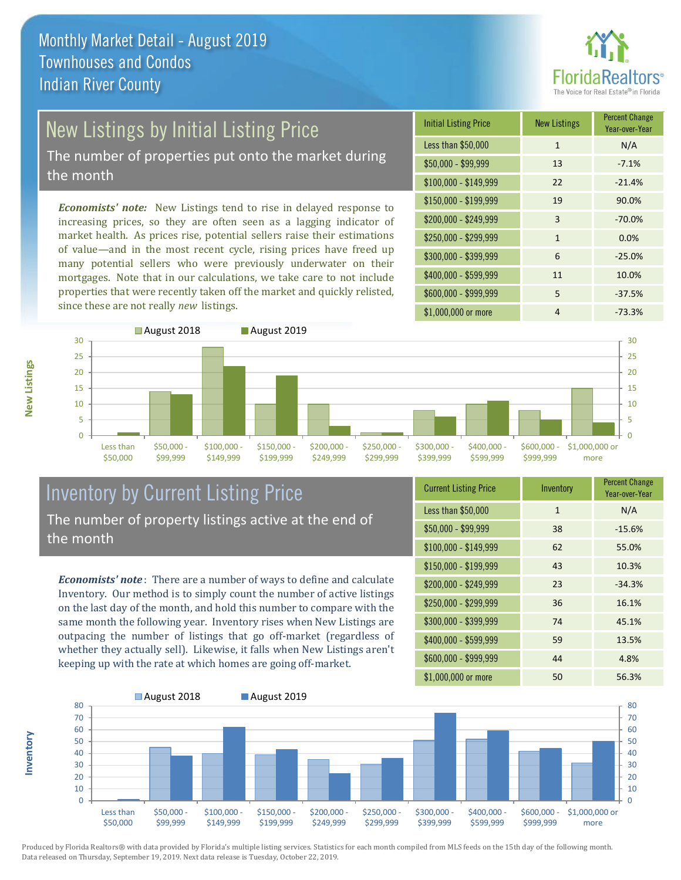

# New Listings by Initial Listing Price

The number of properties put onto the market during the month

*Economists' note:* New Listings tend to rise in delayed response to increasing prices, so they are often seen as a lagging indicator of market health. As prices rise, potential sellers raise their estimations of value—and in the most recent cycle, rising prices have freed up many potential sellers who were previously underwater on their mortgages. Note that in our calculations, we take care to not include properties that were recently taken off the market and quickly relisted, since these are not really *new* listings.

| <b>Initial Listing Price</b> | <b>New Listings</b> | <b>Percent Change</b><br>Year-over-Year |
|------------------------------|---------------------|-----------------------------------------|
| Less than \$50,000           | $\mathbf{1}$        | N/A                                     |
| \$50,000 - \$99,999          | 13                  | $-7.1%$                                 |
| $$100,000 - $149,999$        | 22                  | $-21.4%$                                |
| $$150,000 - $199,999$        | 19                  | 90.0%                                   |
| \$200,000 - \$249,999        | 3                   | $-70.0%$                                |
| \$250,000 - \$299,999        | 1                   | 0.0%                                    |
| \$300,000 - \$399,999        | 6                   | $-25.0%$                                |
| \$400,000 - \$599,999        | 11                  | 10.0%                                   |
| \$600,000 - \$999,999        | 5                   | $-37.5%$                                |
| \$1,000,000 or more          | 4                   | $-73.3%$                                |



### Inventory by Current Listing Price The number of property listings active at the end of the month

*Economists' note* : There are a number of ways to define and calculate Inventory. Our method is to simply count the number of active listings on the last day of the month, and hold this number to compare with the same month the following year. Inventory rises when New Listings are outpacing the number of listings that go off-market (regardless of whether they actually sell). Likewise, it falls when New Listings aren't keeping up with the rate at which homes are going off-market.

| <b>Current Listing Price</b> | Inventory    | <b>Percent Change</b><br>Year-over-Year |
|------------------------------|--------------|-----------------------------------------|
| Less than \$50,000           | $\mathbf{1}$ | N/A                                     |
| $$50,000 - $99,999$          | 38           | $-15.6%$                                |
| $$100,000 - $149,999$        | 62           | 55.0%                                   |
| $$150,000 - $199,999$        | 43           | 10.3%                                   |
| \$200,000 - \$249,999        | 23           | $-34.3%$                                |
| \$250,000 - \$299,999        | 36           | 16.1%                                   |
| \$300,000 - \$399,999        | 74           | 45.1%                                   |
| \$400,000 - \$599,999        | 59           | 13.5%                                   |
| \$600,000 - \$999,999        | 44           | 4.8%                                    |
| \$1,000,000 or more          | 50           | 56.3%                                   |



**New Listings**